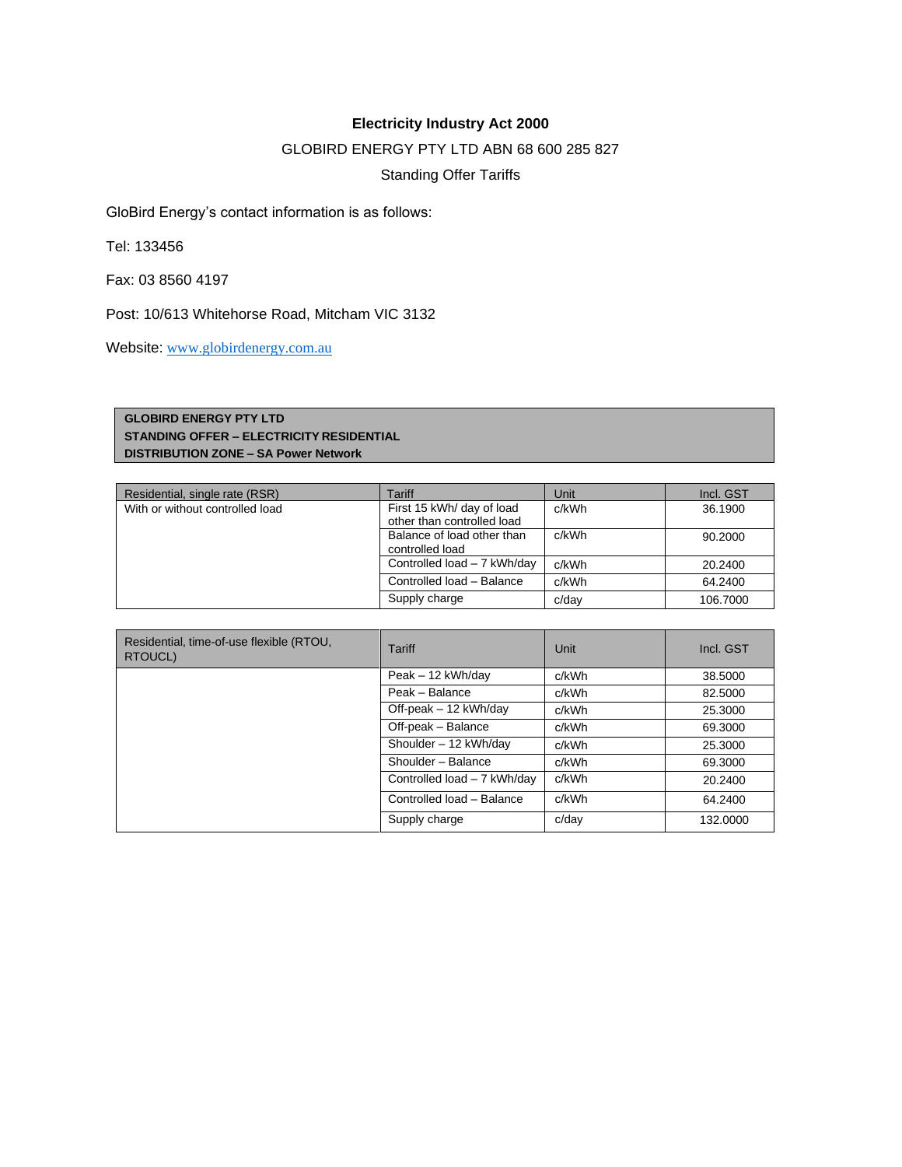## **Electricity Industry Act 2000**

## GLOBIRD ENERGY PTY LTD ABN 68 600 285 827

Standing Offer Tariffs

GloBird Energy's contact information is as follows:

Tel: 133456

Fax: 03 8560 4197

Post: 10/613 Whitehorse Road, Mitcham VIC 3132

Website: [www.globirdenergy.com.au](http://www.globirdenergy.com.au/)

## **GLOBIRD ENERGY PTY LTD STANDING OFFER – ELECTRICITY RESIDENTIAL DISTRIBUTION ZONE – SA Power Network**

| Residential, single rate (RSR)  | Tariff                                                  | Unit  | Incl. GST |
|---------------------------------|---------------------------------------------------------|-------|-----------|
| With or without controlled load | First 15 kWh/ day of load<br>other than controlled load | c/kWh | 36.1900   |
|                                 | Balance of load other than<br>controlled load           | c/kWh | 90.2000   |
|                                 | Controlled load - 7 kWh/day                             | c/kWh | 20.2400   |
|                                 | Controlled load - Balance                               | c/kWh | 64.2400   |
|                                 | Supply charge                                           | c/dav | 106.7000  |

| Residential, time-of-use flexible (RTOU,<br>RTOUCL) | Tariff                      | Unit  | Incl. GST |
|-----------------------------------------------------|-----------------------------|-------|-----------|
|                                                     | Peak - 12 kWh/day           | c/kWh | 38,5000   |
|                                                     | Peak - Balance              | c/kWh | 82,5000   |
|                                                     | Off-peak - 12 kWh/day       | c/kWh | 25,3000   |
|                                                     | Off-peak - Balance          | c/kWh | 69.3000   |
|                                                     | Shoulder - 12 kWh/day       | c/kWh | 25,3000   |
|                                                     | Shoulder - Balance          | c/kWh | 69.3000   |
|                                                     | Controlled load - 7 kWh/day | c/kWh | 20.2400   |
|                                                     | Controlled load - Balance   | c/kWh | 64.2400   |
|                                                     | Supply charge               | c/dav | 132,0000  |